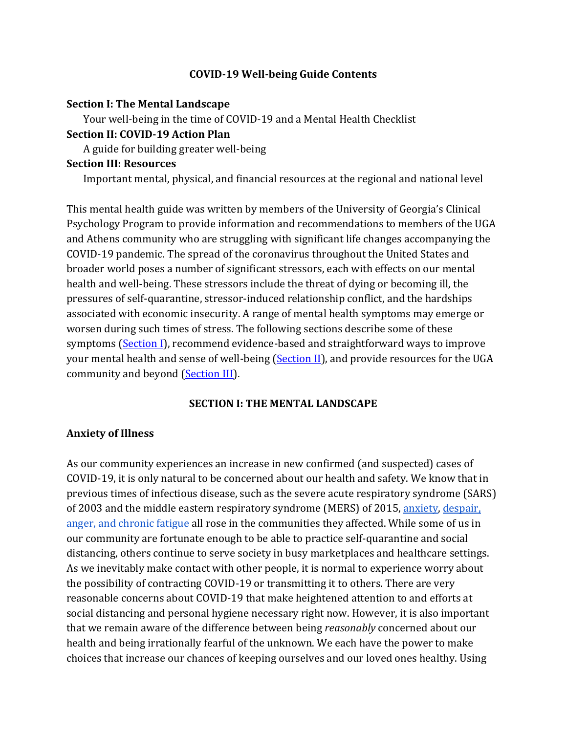#### **COVID-19 Well-being Guide Contents**

#### **Section I: The Mental Landscape**

Your well-being in the time of COVID-19 and a Mental Health Checklist

#### **Section II: COVID-19 Action Plan**

A guide for building greater well-being

#### **Section III: Resources**

Important mental, physical, and financial resources at the regional and national level

This mental health guide was written by members of the University of Georgia's Clinical Psychology Program to provide information and recommendations to members of the UGA and Athens community who are struggling with significant life changes accompanying the COVID-19 pandemic. The spread of the coronavirus throughout the United States and broader world poses a number of significant stressors, each with effects on our mental health and well-being. These stressors include the threat of dying or becoming ill, the pressures of self-quarantine, stressor-induced relationship conflict, and the hardships associated with economic insecurity. A range of mental health symptoms may emerge or worsen during such times of stress. The following sections describe some of these symptoms (Section I), recommend evidence-based and straightforward ways to improve your mental health and sense of well-being (Section II), and provide resources for the UGA community and beyond (Section III).

#### **SECTION I: THE MENTAL LANDSCAPE**

#### **Anxiety of Illness**

As our community experiences an increase in new confirmed (and suspected) cases of COVID-19, it is only natural to be concerned about our health and safety. We know that in previous times of infectious disease, such as the severe acute respiratory syndrome (SARS) of 2003 and the middle eastern respiratory syndrome (MERS) of 2015, anxiety, despair, anger, and chronic fatigue all rose in the communities they affected. While some of us in our community are fortunate enough to be able to practice self-quarantine and social distancing, others continue to serve society in busy marketplaces and healthcare settings. As we inevitably make contact with other people, it is normal to experience worry about the possibility of contracting COVID-19 or transmitting it to others. There are very reasonable concerns about COVID-19 that make heightened attention to and efforts at social distancing and personal hygiene necessary right now. However, it is also important that we remain aware of the difference between being *reasonably* concerned about our health and being irrationally fearful of the unknown. We each have the power to make choices that increase our chances of keeping ourselves and our loved ones healthy. Using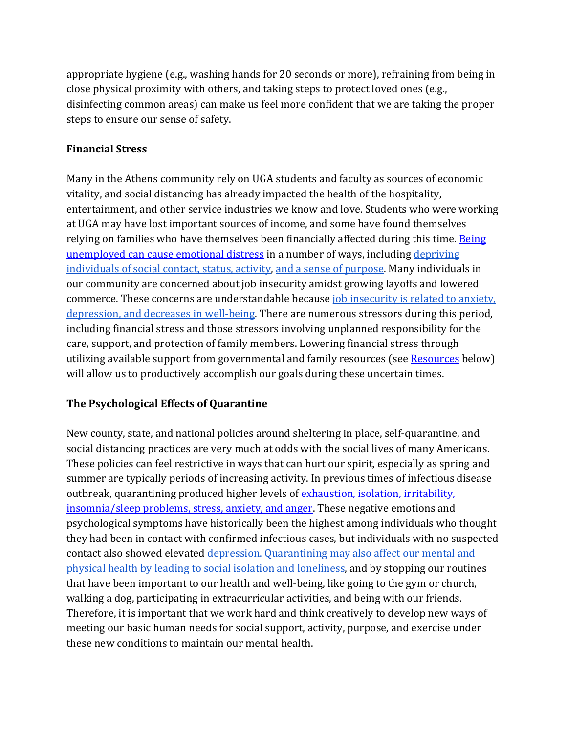appropriate hygiene (e.g., washing hands for 20 seconds or more), refraining from being in close physical proximity with others, and taking steps to protect loved ones (e.g., disinfecting common areas) can make us feel more confident that we are taking the proper steps to ensure our sense of safety.

## **Financial Stress**

Many in the Athens community rely on UGA students and faculty as sources of economic vitality, and social distancing has already impacted the health of the hospitality, entertainment, and other service industries we know and love. Students who were working at UGA may have lost important sources of income, and some have found themselves relying on families who have themselves been financially affected during this time. Being unemployed can cause emotional distress in a number of ways, including depriving individuals of social contact, status, activity, and a sense of purpose. Many individuals in our community are concerned about job insecurity amidst growing layoffs and lowered commerce. These concerns are understandable because job insecurity is related to anxiety, depression, and decreases in well-being. There are numerous stressors during this period, including financial stress and those stressors involving unplanned responsibility for the care, support, and protection of family members. Lowering financial stress through utilizing available support from governmental and family resources (see Resources below) will allow us to productively accomplish our goals during these uncertain times.

## **The Psychological Effects of Quarantine**

New county, state, and national policies around sheltering in place, self-quarantine, and social distancing practices are very much at odds with the social lives of many Americans. These policies can feel restrictive in ways that can hurt our spirit, especially as spring and summer are typically periods of increasing activity. In previous times of infectious disease outbreak, quarantining produced higher levels of exhaustion, isolation, irritability, insomnia/sleep problems, stress, anxiety, and anger. These negative emotions and psychological symptoms have historically been the highest among individuals who thought they had been in contact with confirmed infectious cases, but individuals with no suspected contact also showed elevated depression. Quarantining may also affect our mental and physical health by leading to social isolation and loneliness, and by stopping our routines that have been important to our health and well-being, like going to the gym or church, walking a dog, participating in extracurricular activities, and being with our friends. Therefore, it is important that we work hard and think creatively to develop new ways of meeting our basic human needs for social support, activity, purpose, and exercise under these new conditions to maintain our mental health.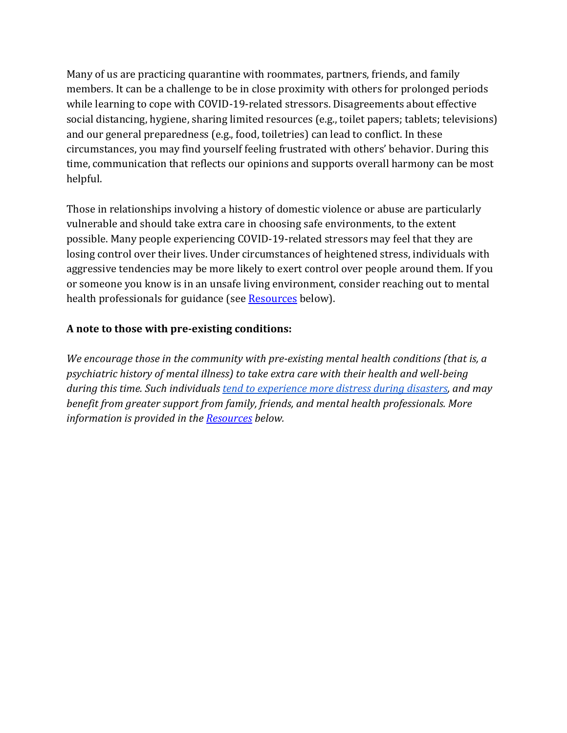Many of us are practicing quarantine with roommates, partners, friends, and family members. It can be a challenge to be in close proximity with others for prolonged periods while learning to cope with COVID-19-related stressors. Disagreements about effective social distancing, hygiene, sharing limited resources (e.g., toilet papers; tablets; televisions) and our general preparedness (e.g., food, toiletries) can lead to conflict. In these circumstances, you may find yourself feeling frustrated with others' behavior. During this time, communication that reflects our opinions and supports overall harmony can be most helpful. 

Those in relationships involving a history of domestic violence or abuse are particularly vulnerable and should take extra care in choosing safe environments, to the extent possible. Many people experiencing COVID-19-related stressors may feel that they are losing control over their lives. Under circumstances of heightened stress, individuals with aggressive tendencies may be more likely to exert control over people around them. If you or someone you know is in an unsafe living environment, consider reaching out to mental health professionals for guidance (see **Resources** below).

## A note to those with pre-existing conditions:

*We encourage those in the community with pre-existing mental health conditions (that is, a psychiatric history of mental illness)* to take extra care with their health and well-being during this time. Such individuals tend to experience more distress during disasters, and may *benefit from greater support from family, friends, and mental health professionals. More information is provided in the Resources below.*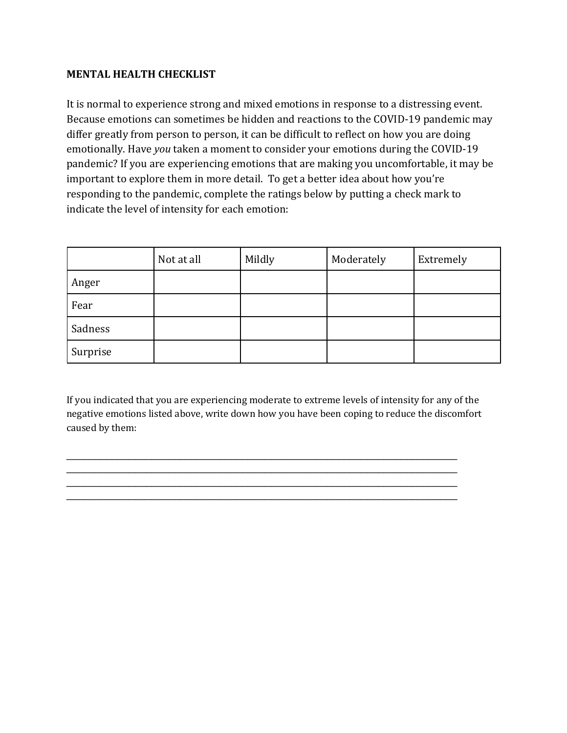#### **MENTAL HEALTH CHECKLIST**

It is normal to experience strong and mixed emotions in response to a distressing event. Because emotions can sometimes be hidden and reactions to the COVID-19 pandemic may differ greatly from person to person, it can be difficult to reflect on how you are doing emotionally. Have *you* taken a moment to consider your emotions during the COVID-19 pandemic? If you are experiencing emotions that are making you uncomfortable, it may be important to explore them in more detail. To get a better idea about how you're responding to the pandemic, complete the ratings below by putting a check mark to indicate the level of intensity for each emotion:

|          | Not at all | Mildly | Moderately | Extremely |
|----------|------------|--------|------------|-----------|
| Anger    |            |        |            |           |
| Fear     |            |        |            |           |
| Sadness  |            |        |            |           |
| Surprise |            |        |            |           |

If you indicated that you are experiencing moderate to extreme levels of intensity for any of the negative emotions listed above, write down how you have been coping to reduce the discomfort caused by them:

 $\_$  $\_$  $\_$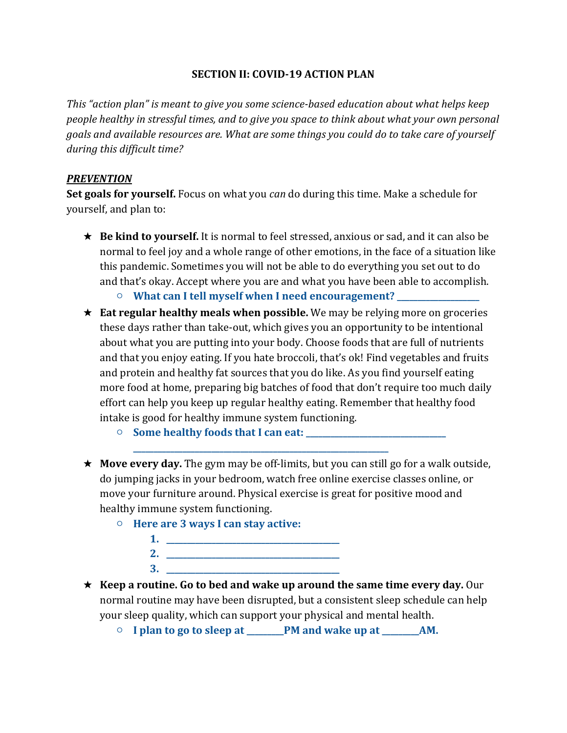#### **SECTION II: COVID-19 ACTION PLAN**

This "action plan" is meant to give you some science-based education about what helps keep *people healthy in stressful times, and to give you space to think about what your own personal* goals and available resources are. What are some things you could do to take care of yourself *during this difficult time?*

#### *PREVENTION*

**Set goals for yourself.** Focus on what you *can* do during this time. Make a schedule for yourself, and plan to:

- $\star$  **Be kind to yourself.** It is normal to feel stressed, anxious or sad, and it can also be normal to feel joy and a whole range of other emotions, in the face of a situation like this pandemic. Sometimes you will not be able to do everything you set out to do and that's okay. Accept where you are and what you have been able to accomplish.
	- $\circ$  What can I tell myself when I need encouragement? \_\_\_\_\_\_\_\_\_\_\_\_\_\_\_\_\_\_\_\_\_\_\_\_\_\_

**\_\_\_\_\_\_\_\_\_\_\_\_\_\_\_\_\_\_\_\_\_\_\_\_\_\_\_\_\_\_\_\_\_\_\_\_\_\_\_\_\_\_\_\_\_\_\_\_\_\_\_\_\_\_\_\_\_\_\_\_\_\_**

- **★ Eat regular healthy meals when possible.** We may be relying more on groceries these days rather than take-out, which gives you an opportunity to be intentional about what you are putting into your body. Choose foods that are full of nutrients and that you enjoy eating. If you hate broccoli, that's ok! Find vegetables and fruits and protein and healthy fat sources that you do like. As you find yourself eating more food at home, preparing big batches of food that don't require too much daily effort can help you keep up regular healthy eating. Remember that healthy food intake is good for healthy immune system functioning.
	- **Some healthy foods that I can eat: \_\_\_\_\_\_\_\_\_\_\_\_\_\_\_\_\_\_\_\_\_\_\_\_\_\_\_\_\_\_\_\_\_\_**
- $\star$  **Move every day.** The gym may be off-limits, but you can still go for a walk outside, do jumping jacks in your bedroom, watch free online exercise classes online, or move your furniture around. Physical exercise is great for positive mood and healthy immune system functioning.
	- **Here are 3 ways I can stay active: 1. \_\_\_\_\_\_\_\_\_\_\_\_\_\_\_\_\_\_\_\_\_\_\_\_\_\_\_\_\_\_\_\_\_\_\_\_\_\_\_\_\_\_ 2. \_\_\_\_\_\_\_\_\_\_\_\_\_\_\_\_\_\_\_\_\_\_\_\_\_\_\_\_\_\_\_\_\_\_\_\_\_\_\_\_\_\_ 3. \_\_\_\_\_\_\_\_\_\_\_\_\_\_\_\_\_\_\_\_\_\_\_\_\_\_\_\_\_\_\_\_\_\_\_\_\_\_\_\_\_\_**
- **★ Keep a routine. Go to bed and wake up around the same time every day.** Our normal routine may have been disrupted, but a consistent sleep schedule can help your sleep quality, which can support your physical and mental health.
	- $\circ$  I plan to go to sleep at \_\_\_\_\_\_PM and wake up at \_\_\_\_\_\_\_AM.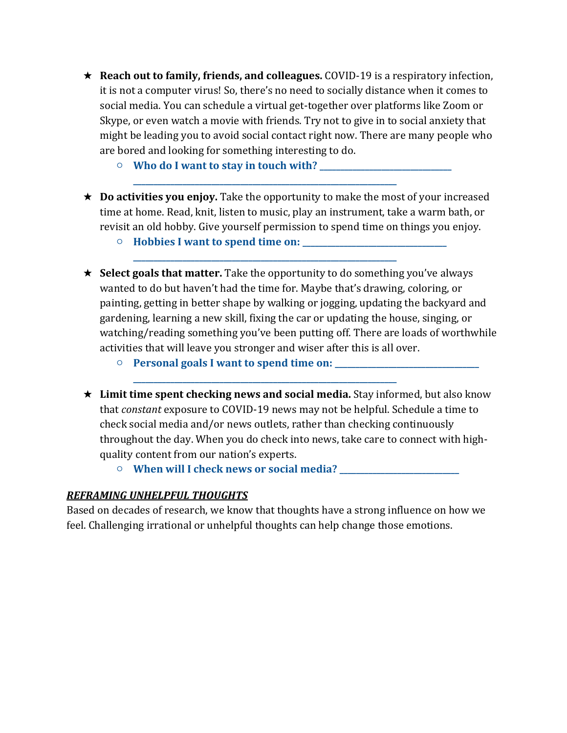- **★ Reach out to family, friends, and colleagues.** COVID-19 is a respiratory infection, it is not a computer virus! So, there's no need to socially distance when it comes to social media. You can schedule a virtual get-together over platforms like Zoom or Skype, or even watch a movie with friends. Try not to give in to social anxiety that might be leading you to avoid social contact right now. There are many people who are bored and looking for something interesting to do.
	- **Who do I want to stay in touch with? \_\_\_\_\_\_\_\_\_\_\_\_\_\_\_\_\_\_\_\_\_\_\_\_\_\_\_\_\_\_\_\_**

**\_\_\_\_\_\_\_\_\_\_\_\_\_\_\_\_\_\_\_\_\_\_\_\_\_\_\_\_\_\_\_\_\_\_\_\_\_\_\_\_\_\_\_\_\_\_\_\_\_\_\_\_\_\_\_\_\_\_\_\_\_\_\_\_**

**\_\_\_\_\_\_\_\_\_\_\_\_\_\_\_\_\_\_\_\_\_\_\_\_\_\_\_\_\_\_\_\_\_\_\_\_\_\_\_\_\_\_\_\_\_\_\_\_\_\_\_\_\_\_\_\_\_\_\_\_\_\_\_\_**

**\_\_\_\_\_\_\_\_\_\_\_\_\_\_\_\_\_\_\_\_\_\_\_\_\_\_\_\_\_\_\_\_\_\_\_\_\_\_\_\_\_\_\_\_\_\_\_\_\_\_\_\_\_\_\_\_\_\_\_\_\_\_\_\_**

- **★ Do activities you enjoy.** Take the opportunity to make the most of your increased time at home. Read, knit, listen to music, play an instrument, take a warm bath, or revisit an old hobby. Give yourself permission to spend time on things you enjoy.
	- **Hobbies I want to spend time on: \_\_\_\_\_\_\_\_\_\_\_\_\_\_\_\_\_\_\_\_\_\_\_\_\_\_\_\_\_\_\_\_\_\_\_**
- **★ Select goals that matter.** Take the opportunity to do something you've always wanted to do but haven't had the time for. Maybe that's drawing, coloring, or painting, getting in better shape by walking or jogging, updating the backyard and gardening, learning a new skill, fixing the car or updating the house, singing, or watching/reading something you've been putting off. There are loads of worthwhile activities that will leave you stronger and wiser after this is all over.
	- $\circ$  **Personal goals I want to spend time on:** \_\_\_\_\_\_\_\_\_
- **★ Limit time spent checking news and social media.** Stay informed, but also know that *constant* exposure to COVID-19 news may not be helpful. Schedule a time to check social media and/or news outlets, rather than checking continuously throughout the day. When you do check into news, take care to connect with highquality content from our nation's experts.
	- **When will I check news or social media? \_\_\_\_\_\_\_\_\_\_\_\_\_\_\_\_\_\_\_\_\_\_\_\_\_\_\_\_\_**

#### *REFRAMING UNHELPFUL THOUGHTS*

Based on decades of research, we know that thoughts have a strong influence on how we feel. Challenging irrational or unhelpful thoughts can help change those emotions.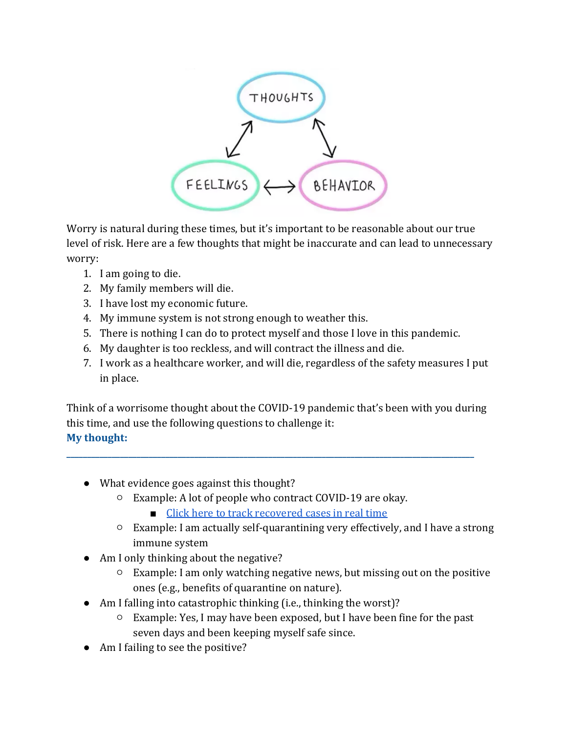

Worry is natural during these times, but it's important to be reasonable about our true level of risk. Here are a few thoughts that might be inaccurate and can lead to unnecessary worry: 

- 1. I am going to die.
- 2. My family members will die.
- 3. I have lost my economic future.
- 4. My immune system is not strong enough to weather this.
- 5. There is nothing I can do to protect myself and those I love in this pandemic.
- 6. My daughter is too reckless, and will contract the illness and die.
- 7. I work as a healthcare worker, and will die, regardless of the safety measures I put in place.

Think of a worrisome thought about the COVID-19 pandemic that's been with you during this time, and use the following questions to challenge it: **My thought:** 

- What evidence goes against this thought?
	- $\circ$  Example: A lot of people who contract COVID-19 are okay.
		- $\blacksquare$  Click here to track recovered cases in real time

**\_\_\_\_\_\_\_\_\_\_\_\_\_\_\_\_\_\_\_\_\_\_\_\_\_\_\_\_\_\_\_\_\_\_\_\_\_\_\_\_\_\_\_\_\_\_\_\_\_\_\_\_\_\_\_\_\_\_\_\_\_\_\_\_\_\_\_\_\_\_\_\_\_\_\_\_\_\_\_\_\_\_\_\_\_\_\_\_\_\_\_\_\_\_\_\_\_\_\_**

- $\circ$  Example: I am actually self-quarantining very effectively, and I have a strong immune system
- Am I only thinking about the negative?
	- $\circ$  Example: I am only watching negative news, but missing out on the positive ones (e.g., benefits of quarantine on nature).
- $\bullet$  Am I falling into catastrophic thinking (i.e., thinking the worst)?
	- $\circ$  Example: Yes, I may have been exposed, but I have been fine for the past seven days and been keeping myself safe since.
- Am I failing to see the positive?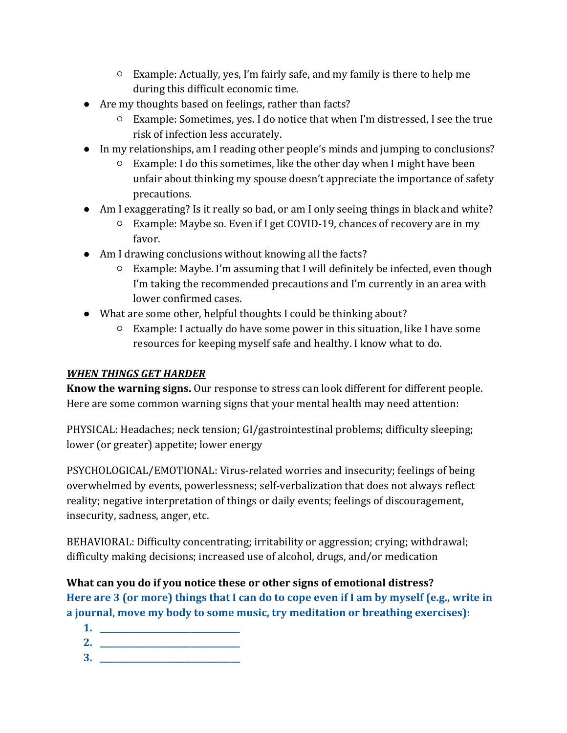- $\circ$  Example: Actually, yes, I'm fairly safe, and my family is there to help me during this difficult economic time.
- Are my thoughts based on feelings, rather than facts?
	- Example: Sometimes, yes. I do notice that when I'm distressed, I see the true risk of infection less accurately.
- In my relationships, am I reading other people's minds and jumping to conclusions?
	- $\circ$  Example: I do this sometimes, like the other day when I might have been unfair about thinking my spouse doesn't appreciate the importance of safety precautions.
- Am I exaggerating? Is it really so bad, or am I only seeing things in black and white?
	- $\circ$  Example: Maybe so. Even if I get COVID-19, chances of recovery are in my favor.
- Am I drawing conclusions without knowing all the facts?
	- $\circ$  Example: Maybe. I'm assuming that I will definitely be infected, even though I'm taking the recommended precautions and I'm currently in an area with lower confirmed cases.
- What are some other, helpful thoughts I could be thinking about?
	- $\circ$  Example: I actually do have some power in this situation, like I have some resources for keeping myself safe and healthy. I know what to do.

# *WHEN THINGS GET HARDER*

**Know the warning signs.** Our response to stress can look different for different people. Here are some common warning signs that your mental health may need attention:

PHYSICAL: Headaches; neck tension; GI/gastrointestinal problems; difficulty sleeping; lower (or greater) appetite; lower energy

PSYCHOLOGICAL/EMOTIONAL: Virus-related worries and insecurity; feelings of being overwhelmed by events, powerlessness; self-verbalization that does not always reflect reality; negative interpretation of things or daily events; feelings of discouragement, insecurity, sadness, anger, etc.

BEHAVIORAL: Difficulty concentrating; irritability or aggression; crying; withdrawal; difficulty making decisions; increased use of alcohol, drugs, and/or medication

What can you do if you notice these or other signs of emotional distress? Here are 3 (or more) things that I can do to cope even if I am by myself (e.g., write in **a journal**, move my body to some music, try meditation or breathing exercises):

- **1. \_\_\_\_\_\_\_\_\_\_\_\_\_\_\_\_\_\_\_\_\_\_\_\_\_\_\_\_\_\_\_\_\_\_**
- **2. \_\_\_\_\_\_\_\_\_\_\_\_\_\_\_\_\_\_\_\_\_\_\_\_\_\_\_\_\_\_\_\_\_\_**
- **3. \_\_\_\_\_\_\_\_\_\_\_\_\_\_\_\_\_\_\_\_\_\_\_\_\_\_\_\_\_\_\_\_\_\_**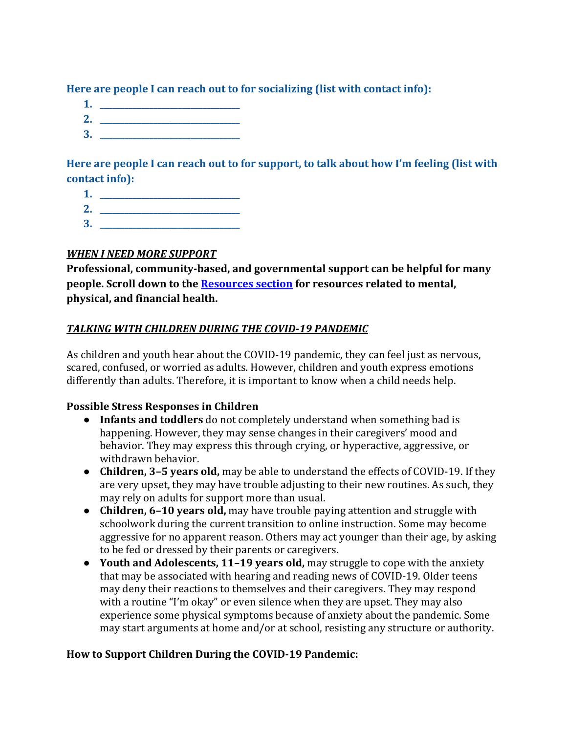Here are people I can reach out to for socializing (list with contact info):

- **1. \_\_\_\_\_\_\_\_\_\_\_\_\_\_\_\_\_\_\_\_\_\_\_\_\_\_\_\_\_\_\_\_\_\_**
- **2. \_\_\_\_\_\_\_\_\_\_\_\_\_\_\_\_\_\_\_\_\_\_\_\_\_\_\_\_\_\_\_\_\_\_**
- **3. \_\_\_\_\_\_\_\_\_\_\_\_\_\_\_\_\_\_\_\_\_\_\_\_\_\_\_\_\_\_\_\_\_\_**

Here are people I can reach out to for support, to talk about how I'm feeling (list with contact info):

- **1. \_\_\_\_\_\_\_\_\_\_\_\_\_\_\_\_\_\_\_\_\_\_\_\_\_\_\_\_\_\_\_\_\_\_**
- **2. \_\_\_\_\_\_\_\_\_\_\_\_\_\_\_\_\_\_\_\_\_\_\_\_\_\_\_\_\_\_\_\_\_\_**
- **3. \_\_\_\_\_\_\_\_\_\_\_\_\_\_\_\_\_\_\_\_\_\_\_\_\_\_\_\_\_\_\_\_\_\_**

## *WHEN I NEED MORE SUPPORT*

Professional, community-based, and governmental support can be helpful for many **people.** Scroll down to the **Resources** section for resources related to mental, physical, and financial health.

## TALKING WITH CHILDREN DURING THE COVID-19 PANDEMIC

As children and youth hear about the COVID-19 pandemic, they can feel just as nervous, scared, confused, or worried as adults. However, children and youth express emotions differently than adults. Therefore, it is important to know when a child needs help.

## **Possible Stress Responses in Children**

- Infants and **toddlers** do not completely understand when something bad is happening. However, they may sense changes in their caregivers' mood and behavior. They may express this through crying, or hyperactive, aggressive, or withdrawn behavior.
- **Children, 3-5 years old,** may be able to understand the effects of COVID-19. If they are very upset, they may have trouble adjusting to their new routines. As such, they may rely on adults for support more than usual.
- **Children, 6-10 years old,** may have trouble paying attention and struggle with schoolwork during the current transition to online instruction. Some may become aggressive for no apparent reason. Others may act younger than their age, by asking to be fed or dressed by their parents or caregivers.
- Youth and Adolescents, 11-19 years old, may struggle to cope with the anxiety that may be associated with hearing and reading news of COVID-19. Older teens may deny their reactions to themselves and their caregivers. They may respond with a routine "I'm okay" or even silence when they are upset. They may also experience some physical symptoms because of anxiety about the pandemic. Some may start arguments at home and/or at school, resisting any structure or authority.

## **How to Support Children During the COVID-19 Pandemic:**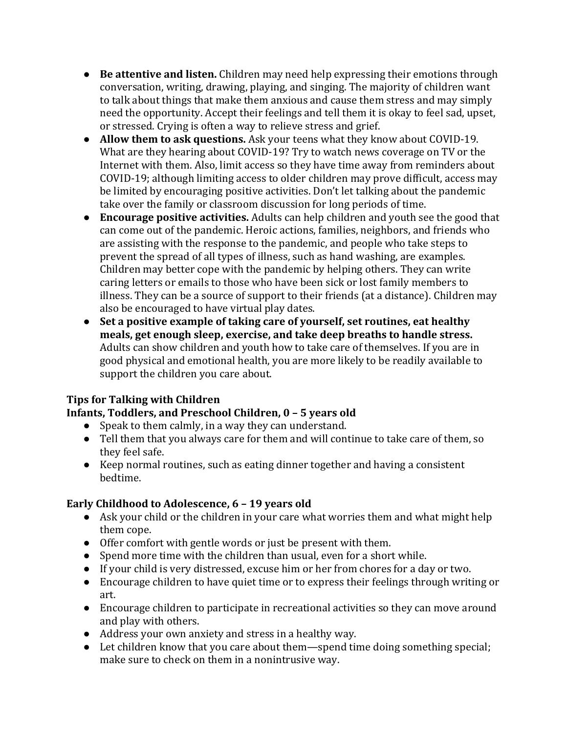- Be attentive and listen. Children may need help expressing their emotions through conversation, writing, drawing, playing, and singing. The majority of children want to talk about things that make them anxious and cause them stress and may simply need the opportunity. Accept their feelings and tell them it is okay to feel sad, upset, or stressed. Crying is often a way to relieve stress and grief.
- **Allow them to ask questions.** Ask your teens what they know about COVID-19. What are they hearing about COVID-19? Try to watch news coverage on TV or the Internet with them. Also, limit access so they have time away from reminders about COVID-19; although limiting access to older children may prove difficult, access may be limited by encouraging positive activities. Don't let talking about the pandemic take over the family or classroom discussion for long periods of time.
- Encourage positive activities. Adults can help children and youth see the good that can come out of the pandemic. Heroic actions, families, neighbors, and friends who are assisting with the response to the pandemic, and people who take steps to prevent the spread of all types of illness, such as hand washing, are examples. Children may better cope with the pandemic by helping others. They can write caring letters or emails to those who have been sick or lost family members to illness. They can be a source of support to their friends (at a distance). Children may also be encouraged to have virtual play dates.
- Set a positive example of taking care of yourself, set routines, eat healthy meals, get enough sleep, exercise, and take deep breaths to handle stress. Adults can show children and youth how to take care of themselves. If you are in good physical and emotional health, you are more likely to be readily available to support the children you care about.

# **Tips for Talking with Children**

# **Infants, Toddlers, and Preschool Children, 0 - 5 years old**

- Speak to them calmly, in a way they can understand.
- Tell them that you always care for them and will continue to take care of them, so they feel safe.
- Keep normal routines, such as eating dinner together and having a consistent bedtime.

# **Early Childhood to Adolescence, 6 - 19 years old**

- Ask your child or the children in your care what worries them and what might help them cope.
- Offer comfort with gentle words or just be present with them.
- Spend more time with the children than usual, even for a short while.
- If your child is very distressed, excuse him or her from chores for a day or two.
- Encourage children to have quiet time or to express their feelings through writing or art.
- Encourage children to participate in recreational activities so they can move around and play with others.
- Address your own anxiety and stress in a healthy way.
- $\bullet$  Let children know that you care about them—spend time doing something special; make sure to check on them in a nonintrusive way.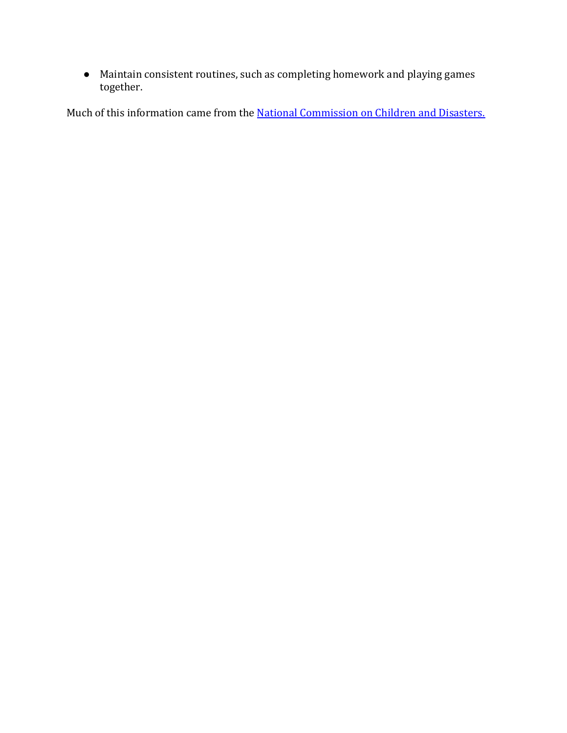• Maintain consistent routines, such as completing homework and playing games together.

Much of this information came from the **National Commission on Children and Disasters.**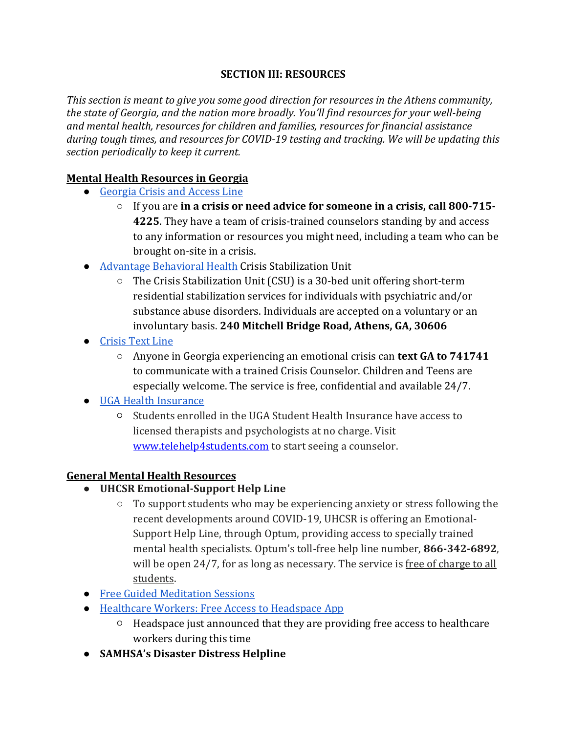#### **SECTION III: RESOURCES**

*This* section is meant to give you some good direction for resources in the Athens community, *the state of Georgia, and the nation more broadly. You'll find resources for your well-being* and mental health, resources for children and families, resources for financial assistance during tough times, and resources for COVID-19 testing and tracking. We will be updating this section periodically to keep it current.

## **Mental Health Resources in Georgia**

- Georgia Crisis and Access Line
	- $\circ$  If you are in a crisis or need advice for someone in a crisis, call 800-715-**4225.** They have a team of crisis-trained counselors standing by and access to any information or resources you might need, including a team who can be brought on-site in a crisis.
- Advantage Behavioral Health Crisis Stabilization Unit
	- $\circ$  The Crisis Stabilization Unit (CSU) is a 30-bed unit offering short-term residential stabilization services for individuals with psychiatric and/or substance abuse disorders. Individuals are accepted on a voluntary or an involuntary basis. 240 Mitchell Bridge Road, Athens, GA, 30606
- Crisis Text Line
	- $\circ$  Anyone in Georgia experiencing an emotional crisis can **text GA to 741741** to communicate with a trained Crisis Counselor. Children and Teens are especially welcome. The service is free, confidential and available 24/7.
- UGA Health Insurance
	- $\circ$  Students enrolled in the UGA Student Health Insurance have access to licensed therapists and psychologists at no charge. Visit www.telehelp4students.com to start seeing a counselor.

#### **General Mental Health Resources**

- **UHCSR Emotional-Support Help Line**
	- $\circ$  To support students who may be experiencing anxiety or stress following the recent developments around COVID-19, UHCSR is offering an Emotional-Support Help Line, through Optum, providing access to specially trained mental health specialists. Optum's toll-free help line number, **866-342-6892**, will be open  $24/7$ , for as long as necessary. The service is free of charge to all students.
- Free Guided Meditation Sessions
- Healthcare Workers: Free Access to Headspace App
	- $\circ$  Headspace just announced that they are providing free access to healthcare workers during this time
- **SAMHSA's Disaster Distress Helpline**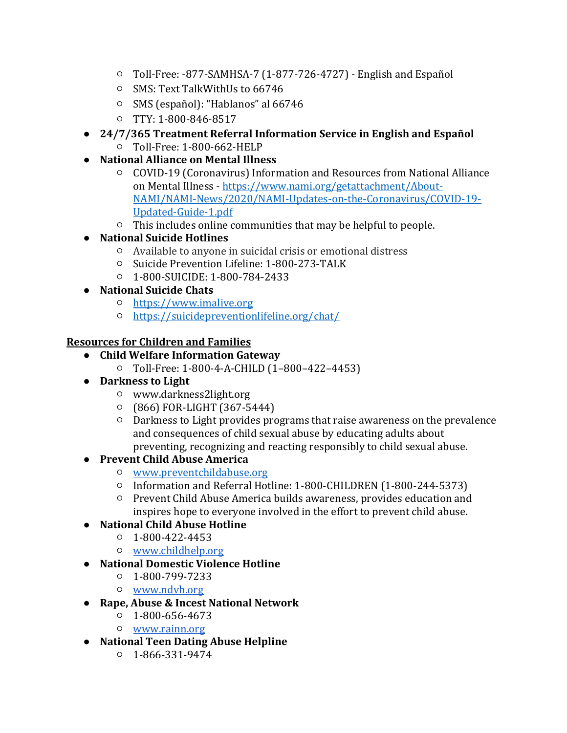- $\circ$  Toll-Free: -877-SAMHSA-7 (1-877-726-4727) English and Español
- o SMS: Text TalkWithUs to 66746
- SMS (español): "Hablanos" al 66746
- TTY: 1-800-846-8517

## • 24/7/365 Treatment Referral Information Service in English and Español

- Toll-Free: 1-800-662-HELP
- **National Alliance on Mental Illness**
	- COVID-19 (Coronavirus) Information and Resources from National Alliance on Mental Illness - https://www.nami.org/getattachment/About-NAMI/NAMI-News/2020/NAMI-Updates-on-the-Coronavirus/COVID-19- Updated-Guide-1.pdf
	- $\circ$  This includes online communities that may be helpful to people.

## ● **National Suicide Hotlines**

- $\circ$  Available to anyone in suicidal crisis or emotional distress
- Suicide Prevention Lifeline: 1-800-273-TALK
- 1-800-SUICIDE: 1-800-784-2433
- **National Suicide Chats**
	- https://www.imalive.org
	- https://suicidepreventionlifeline.org/chat/

## **Resources for Children and Families**

- **Child Welfare Information Gateway**
	- Toll-Free: 1-800-4-A-CHILD (1–800–422–4453)
- **•** Darkness to Light
	- www.darkness2light.org
	- $O$  (866) FOR-LIGHT (367-5444)
	- $\circ$  Darkness to Light provides programs that raise awareness on the prevalence and consequences of child sexual abuse by educating adults about preventing, recognizing and reacting responsibly to child sexual abuse.

# ● **Prevent Child Abuse America**

- www.preventchildabuse.org
- Information and Referral Hotline: 1-800-CHILDREN (1-800-244-5373)
- Prevent Child Abuse America builds awareness, provides education and inspires hope to everyone involved in the effort to prevent child abuse.

# ● **National Child Abuse Hotline**

- $0$  1-800-422-4453
- www.childhelp.org
- **National Domestic Violence Hotline**
	- 1-800-799-7233
	- www.ndvh.org
- **Rape, Abuse & Incest National Network**
	- $0.1 800 656 4673$
	- www.rainn.org
- **National Teen Dating Abuse Helpline**
	- 1-866-331-9474